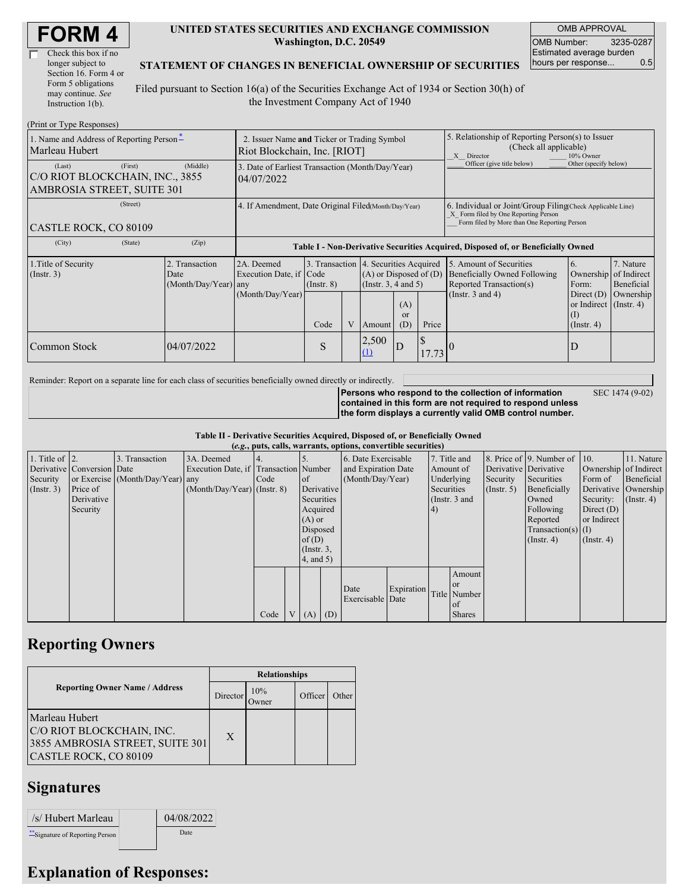| <b>FORM4</b> |
|--------------|
|--------------|

| Check this box if no  |
|-----------------------|
| longer subject to     |
| Section 16. Form 4 or |
| Form 5 obligations    |
| may continue. See     |
| Instruction 1(b).     |

#### **UNITED STATES SECURITIES AND EXCHANGE COMMISSION Washington, D.C. 20549**

OMB APPROVAL OMB Number: 3235-0287 Estimated average burden hours per response... 0.5

SEC 1474 (9-02)

#### **STATEMENT OF CHANGES IN BENEFICIAL OWNERSHIP OF SECURITIES**

Filed pursuant to Section 16(a) of the Securities Exchange Act of 1934 or Section 30(h) of the Investment Company Act of 1940

| (Print or Type Responses)                                                           |                                                                             |                                                                                  |                         |   |              |                                                                                                                                     |                                                                                                                                                    |                                                                                                             |                                                                                                        |                                                     |
|-------------------------------------------------------------------------------------|-----------------------------------------------------------------------------|----------------------------------------------------------------------------------|-------------------------|---|--------------|-------------------------------------------------------------------------------------------------------------------------------------|----------------------------------------------------------------------------------------------------------------------------------------------------|-------------------------------------------------------------------------------------------------------------|--------------------------------------------------------------------------------------------------------|-----------------------------------------------------|
| 1. Name and Address of Reporting Person-<br>Marleau Hubert                          | 2. Issuer Name and Ticker or Trading Symbol<br>Riot Blockchain, Inc. [RIOT] |                                                                                  |                         |   |              |                                                                                                                                     | 5. Relationship of Reporting Person(s) to Issuer<br>(Check all applicable)<br>10% Owner<br>X Director                                              |                                                                                                             |                                                                                                        |                                                     |
| (First)<br>(Last)<br> C/O RIOT BLOCKCHAIN, INC., 3855<br>AMBROSIA STREET, SUITE 301 | (Middle)                                                                    | 3. Date of Earliest Transaction (Month/Day/Year)<br>04/07/2022                   |                         |   |              |                                                                                                                                     | Officer (give title below)                                                                                                                         | Other (specify below)                                                                                       |                                                                                                        |                                                     |
| (Street)<br>CASTLE ROCK, CO 80109                                                   | 4. If Amendment, Date Original Filed(Month/Day/Year)                        |                                                                                  |                         |   |              |                                                                                                                                     | 6. Individual or Joint/Group Filing Check Applicable Line)<br>X Form filed by One Reporting Person<br>Form filed by More than One Reporting Person |                                                                                                             |                                                                                                        |                                                     |
| (City)<br>(State)                                                                   | (Zip)                                                                       | Table I - Non-Derivative Securities Acquired, Disposed of, or Beneficially Owned |                         |   |              |                                                                                                                                     |                                                                                                                                                    |                                                                                                             |                                                                                                        |                                                     |
| 1. Title of Security<br>$($ Instr. 3 $)$                                            | 2. Transaction<br>Date<br>(Month/Day/Year) any                              | 2A. Deemed<br>Execution Date, if Code<br>(Month/Day/Year)                        | $($ Instr. $8)$<br>Code | V | Amount       | 3. Transaction 4. Securities Acquired<br>$(A)$ or Disposed of $(D)$<br>(Insert. 3, 4 and 5)<br>(A)<br><sub>or</sub><br>Price<br>(D) |                                                                                                                                                    | 5. Amount of Securities<br>Beneficially Owned Following<br>Reported Transaction(s)<br>(Instr. $3$ and $4$ ) | 6.<br>Ownership<br>Form:<br>Direct $(D)$<br>or Indirect $($ Instr. 4 $)$<br>$($ I)<br>$($ Instr. 4 $)$ | 7. Nature<br>of Indirect<br>Beneficial<br>Ownership |
| Common Stock                                                                        | 04/07/2022                                                                  |                                                                                  | S                       |   | 2,500<br>(1) | D                                                                                                                                   | 17.73                                                                                                                                              |                                                                                                             |                                                                                                        |                                                     |

Reminder: Report on a separate line for each class of securities beneficially owned directly or indirectly.

**Persons who respond to the collection of information contained in this form are not required to respond unless the form displays a currently valid OMB control number.**

**Table II - Derivative Securities Acquired, Disposed of, or Beneficially Owned**

|                        | (e.g., puts, calls, warrants, options, convertible securities) |                                  |                                       |      |  |                 |            |                                |            |    |               |              |                              |                  |                       |                       |  |
|------------------------|----------------------------------------------------------------|----------------------------------|---------------------------------------|------|--|-----------------|------------|--------------------------------|------------|----|---------------|--------------|------------------------------|------------------|-----------------------|-----------------------|--|
| 1. Title of $\vert$ 2. |                                                                | 3. Transaction                   | 3A. Deemed                            |      |  |                 |            | 6. Date Exercisable            |            |    | 7. Title and  |              | 8. Price of 9. Number of 10. |                  | 11. Nature            |                       |  |
|                        | Derivative Conversion Date                                     |                                  | Execution Date, if Transaction Number |      |  |                 |            | and Expiration Date            |            |    |               |              | Amount of                    |                  | Derivative Derivative | Ownership of Indirect |  |
| Security               |                                                                | or Exercise (Month/Day/Year) any |                                       | Code |  | of              |            | (Month/Day/Year)<br>Underlying |            |    | Security      | Securities   | Form of                      | Beneficial       |                       |                       |  |
| (Insert. 3)            | Price of                                                       |                                  | $(Month/Day/Year)$ (Instr. 8)         |      |  |                 | Derivative |                                | Securities |    | (Insert, 5)   | Beneficially | Derivative Ownership         |                  |                       |                       |  |
|                        | Derivative                                                     |                                  |                                       |      |  | Securities      |            |                                |            |    | (Instr. 3 and |              | Owned                        | Security:        | $($ Instr. 4 $)$      |                       |  |
|                        | Security                                                       |                                  |                                       |      |  | Acquired        |            |                                |            | 4) |               |              | Following                    | Direct $(D)$     |                       |                       |  |
|                        |                                                                |                                  |                                       |      |  | $(A)$ or        |            |                                |            |    |               |              | Reported                     | or Indirect      |                       |                       |  |
|                        |                                                                |                                  |                                       |      |  | Disposed        |            |                                |            |    |               |              | $Transaction(s)$ (I)         |                  |                       |                       |  |
|                        |                                                                |                                  |                                       |      |  | of(D)           |            |                                |            |    |               |              | $($ Instr. 4 $)$             | $($ Instr. 4 $)$ |                       |                       |  |
|                        |                                                                |                                  |                                       |      |  | $($ Instr. $3,$ |            |                                |            |    |               |              |                              |                  |                       |                       |  |
|                        |                                                                |                                  |                                       |      |  | $4$ , and $5$ ) |            |                                |            |    |               |              |                              |                  |                       |                       |  |
|                        |                                                                |                                  |                                       |      |  |                 |            |                                |            |    | Amount        |              |                              |                  |                       |                       |  |
|                        |                                                                |                                  |                                       |      |  |                 |            |                                |            |    | <sub>or</sub> |              |                              |                  |                       |                       |  |
|                        |                                                                |                                  |                                       |      |  |                 |            | Date                           | Expiration |    | Title Number  |              |                              |                  |                       |                       |  |
|                        |                                                                |                                  |                                       |      |  |                 |            | Exercisable Date               |            |    | of of         |              |                              |                  |                       |                       |  |
|                        |                                                                |                                  |                                       | Code |  | V(A)            | (D)        |                                |            |    | <b>Shares</b> |              |                              |                  |                       |                       |  |

### **Reporting Owners**

|                                                                                                         | <b>Relationships</b> |                 |         |       |  |  |  |  |
|---------------------------------------------------------------------------------------------------------|----------------------|-----------------|---------|-------|--|--|--|--|
| <b>Reporting Owner Name / Address</b>                                                                   | Director             | 10%<br><b>T</b> | Officer | Other |  |  |  |  |
| Marleau Hubert<br>C/O RIOT BLOCKCHAIN, INC.<br>3855 AMBROSIA STREET, SUITE 301<br>CASTLE ROCK, CO 80109 | X                    |                 |         |       |  |  |  |  |

## **Signatures**

| /s/ Hubert Marleau               | 04/08/2022 |
|----------------------------------|------------|
| ** Signature of Reporting Person | Date       |

# **Explanation of Responses:**